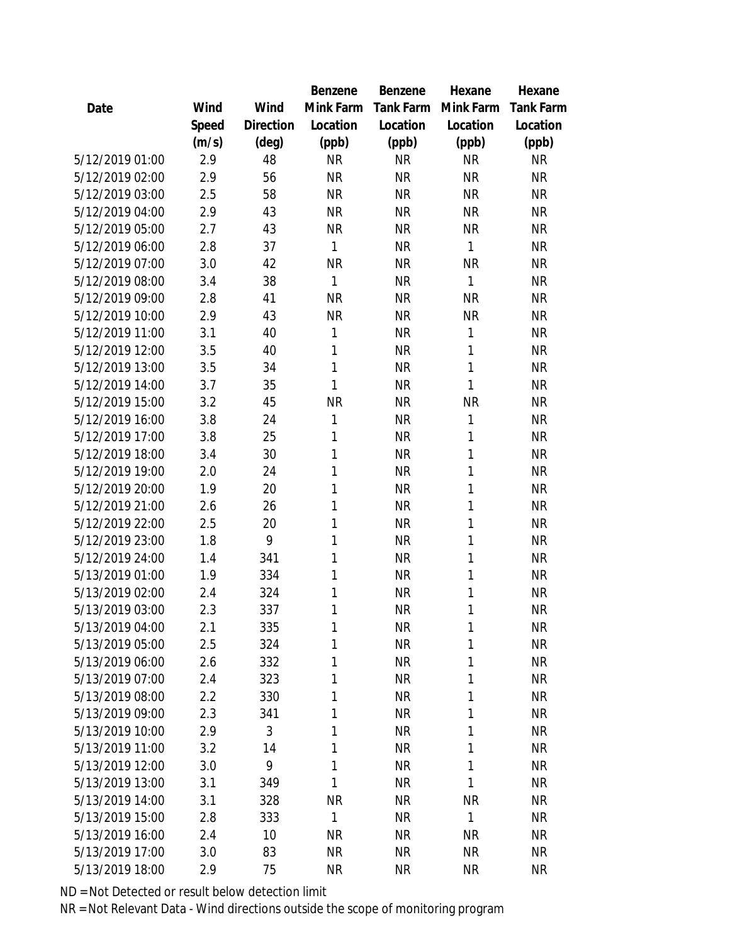|                 |       |           | Benzene   | Benzene   | Hexane    | Hexane           |
|-----------------|-------|-----------|-----------|-----------|-----------|------------------|
| Date            | Wind  | Wind      | Mink Farm | Tank Farm | Mink Farm | <b>Tank Farm</b> |
|                 | Speed | Direction | Location  | Location  | Location  | Location         |
|                 | (m/s) | (deg)     | (ppb)     | (ppb)     | (ppb)     | (ppb)            |
| 5/12/2019 01:00 | 2.9   | 48        | <b>NR</b> | <b>NR</b> | <b>NR</b> | <b>NR</b>        |
| 5/12/2019 02:00 | 2.9   | 56        | <b>NR</b> | <b>NR</b> | <b>NR</b> | <b>NR</b>        |
| 5/12/2019 03:00 | 2.5   | 58        | <b>NR</b> | <b>NR</b> | <b>NR</b> | <b>NR</b>        |
| 5/12/2019 04:00 | 2.9   | 43        | <b>NR</b> | <b>NR</b> | <b>NR</b> | <b>NR</b>        |
| 5/12/2019 05:00 | 2.7   | 43        | <b>NR</b> | <b>NR</b> | <b>NR</b> | <b>NR</b>        |
| 5/12/2019 06:00 | 2.8   | 37        | 1         | <b>NR</b> | 1         | <b>NR</b>        |
| 5/12/2019 07:00 | 3.0   | 42        | <b>NR</b> | <b>NR</b> | <b>NR</b> | <b>NR</b>        |
| 5/12/2019 08:00 | 3.4   | 38        | 1         | <b>NR</b> | 1         | <b>NR</b>        |
| 5/12/2019 09:00 | 2.8   | 41        | <b>NR</b> | <b>NR</b> | <b>NR</b> | <b>NR</b>        |
| 5/12/2019 10:00 | 2.9   | 43        | <b>NR</b> | <b>NR</b> | <b>NR</b> | <b>NR</b>        |
| 5/12/2019 11:00 | 3.1   | 40        | 1         | <b>NR</b> | 1         | <b>NR</b>        |
| 5/12/2019 12:00 | 3.5   | 40        | 1         | <b>NR</b> | 1         | <b>NR</b>        |
| 5/12/2019 13:00 | 3.5   | 34        | 1         | <b>NR</b> | 1         | <b>NR</b>        |
| 5/12/2019 14:00 | 3.7   | 35        | 1         | <b>NR</b> | 1         | <b>NR</b>        |
| 5/12/2019 15:00 | 3.2   | 45        | <b>NR</b> | <b>NR</b> | <b>NR</b> | <b>NR</b>        |
| 5/12/2019 16:00 | 3.8   | 24        | 1         | <b>NR</b> | 1         | <b>NR</b>        |
| 5/12/2019 17:00 | 3.8   | 25        | 1         | <b>NR</b> | 1         | <b>NR</b>        |
| 5/12/2019 18:00 | 3.4   | 30        | 1         | <b>NR</b> | 1         | <b>NR</b>        |
| 5/12/2019 19:00 | 2.0   | 24        | 1         | <b>NR</b> | 1         | <b>NR</b>        |
| 5/12/2019 20:00 | 1.9   | 20        | 1         | <b>NR</b> | 1         | ΝR               |
| 5/12/2019 21:00 | 2.6   | 26        | 1         | <b>NR</b> | 1         | <b>NR</b>        |
| 5/12/2019 22:00 | 2.5   | 20        | 1         | <b>NR</b> | 1         | <b>NR</b>        |
| 5/12/2019 23:00 | 1.8   | 9         | 1         | <b>NR</b> | 1         | <b>NR</b>        |
| 5/12/2019 24:00 | 1.4   | 341       | 1         | <b>NR</b> | 1         | <b>NR</b>        |
| 5/13/2019 01:00 | 1.9   | 334       | 1         | <b>NR</b> | 1         | <b>NR</b>        |
| 5/13/2019 02:00 | 2.4   | 324       | 1         | <b>NR</b> | 1         | <b>NR</b>        |
| 5/13/2019 03:00 | 2.3   | 337       | 1         | <b>NR</b> | 1         | <b>NR</b>        |
| 5/13/2019 04:00 | 2.1   | 335       | 1         | <b>NR</b> | 1         | <b>NR</b>        |
| 5/13/2019 05:00 | 2.5   | 324       | 1         | <b>NR</b> | 1         | <b>NR</b>        |
| 5/13/2019 06:00 | 2.6   | 332       | 1         | <b>NR</b> | 1         | <b>NR</b>        |
| 5/13/2019 07:00 | 2.4   | 323       | 1         | <b>NR</b> | 1         | <b>NR</b>        |
| 5/13/2019 08:00 | 2.2   | 330       | 1         | <b>NR</b> | 1         | <b>NR</b>        |
| 5/13/2019 09:00 | 2.3   | 341       | 1         | <b>NR</b> | 1         | <b>NR</b>        |
| 5/13/2019 10:00 | 2.9   | 3         | 1         | <b>NR</b> | 1         | <b>NR</b>        |
| 5/13/2019 11:00 | 3.2   | 14        | 1         | <b>NR</b> | 1         | <b>NR</b>        |
| 5/13/2019 12:00 | 3.0   | 9         | 1         | <b>NR</b> | 1         | <b>NR</b>        |
| 5/13/2019 13:00 | 3.1   | 349       | 1         | <b>NR</b> | 1         | <b>NR</b>        |
| 5/13/2019 14:00 | 3.1   | 328       | <b>NR</b> | <b>NR</b> | <b>NR</b> | <b>NR</b>        |
| 5/13/2019 15:00 | 2.8   | 333       | 1         | <b>NR</b> | 1         | <b>NR</b>        |
| 5/13/2019 16:00 | 2.4   | 10        | <b>NR</b> | <b>NR</b> | <b>NR</b> | <b>NR</b>        |
| 5/13/2019 17:00 | 3.0   | 83        | <b>NR</b> | <b>NR</b> | <b>NR</b> | <b>NR</b>        |
| 5/13/2019 18:00 | 2.9   | 75        | <b>NR</b> | <b>NR</b> | <b>NR</b> | <b>NR</b>        |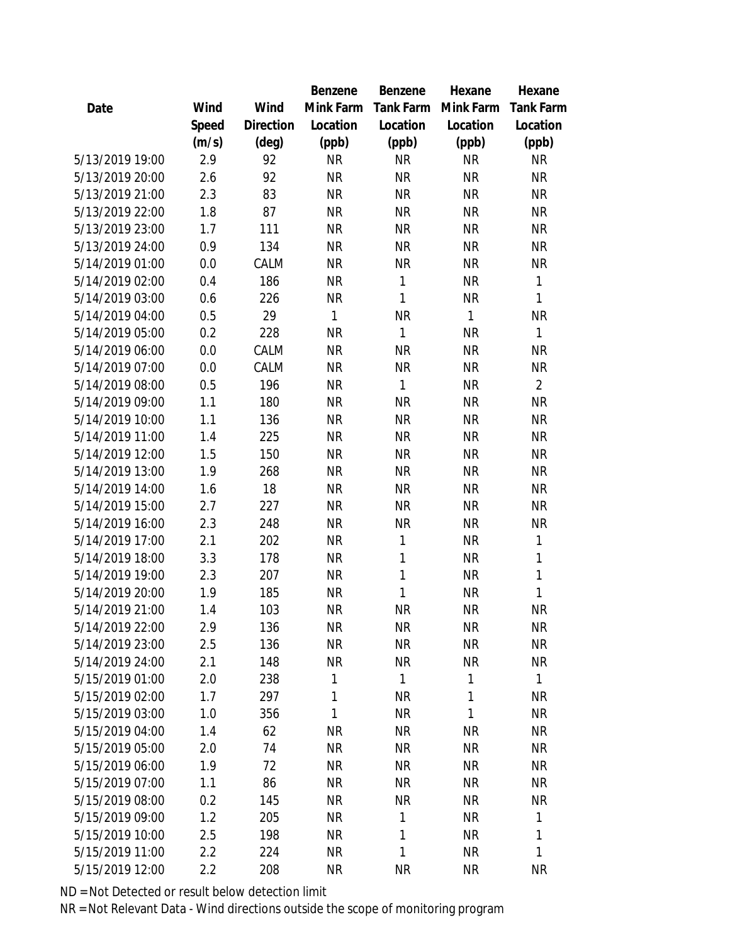|                 |       |           | Benzene      | Benzene   | Hexane       | Hexane         |
|-----------------|-------|-----------|--------------|-----------|--------------|----------------|
| Date            | Wind  | Wind      | Mink Farm    | Tank Farm | Mink Farm    | Tank Farm      |
|                 | Speed | Direction | Location     | Location  | Location     | Location       |
|                 | (m/s) | (deg)     | (ppb)        | (ppb)     | (ppb)        | (ppb)          |
| 5/13/2019 19:00 | 2.9   | 92        | <b>NR</b>    | <b>NR</b> | <b>NR</b>    | <b>NR</b>      |
| 5/13/2019 20:00 | 2.6   | 92        | <b>NR</b>    | <b>NR</b> | <b>NR</b>    | <b>NR</b>      |
| 5/13/2019 21:00 | 2.3   | 83        | <b>NR</b>    | <b>NR</b> | <b>NR</b>    | <b>NR</b>      |
| 5/13/2019 22:00 | 1.8   | 87        | <b>NR</b>    | <b>NR</b> | <b>NR</b>    | <b>NR</b>      |
| 5/13/2019 23:00 | 1.7   | 111       | <b>NR</b>    | <b>NR</b> | <b>NR</b>    | <b>NR</b>      |
| 5/13/2019 24:00 | 0.9   | 134       | <b>NR</b>    | <b>NR</b> | <b>NR</b>    | <b>NR</b>      |
| 5/14/2019 01:00 | 0.0   | CALM      | <b>NR</b>    | <b>NR</b> | <b>NR</b>    | <b>NR</b>      |
| 5/14/2019 02:00 | 0.4   | 186       | <b>NR</b>    | 1         | <b>NR</b>    | $\mathbf{1}$   |
| 5/14/2019 03:00 | 0.6   | 226       | <b>NR</b>    | 1         | <b>NR</b>    | 1              |
| 5/14/2019 04:00 | 0.5   | 29        | $\mathbf{1}$ | <b>NR</b> | 1            | NR             |
| 5/14/2019 05:00 | 0.2   | 228       | <b>NR</b>    | 1         | <b>NR</b>    | 1              |
| 5/14/2019 06:00 | 0.0   | CALM      | <b>NR</b>    | <b>NR</b> | <b>NR</b>    | <b>NR</b>      |
| 5/14/2019 07:00 | 0.0   | CALM      | <b>NR</b>    | <b>NR</b> | <b>NR</b>    | <b>NR</b>      |
| 5/14/2019 08:00 | 0.5   | 196       | <b>NR</b>    | 1         | <b>NR</b>    | $\overline{2}$ |
| 5/14/2019 09:00 | 1.1   | 180       | <b>NR</b>    | <b>NR</b> | <b>NR</b>    | <b>NR</b>      |
| 5/14/2019 10:00 | 1.1   | 136       | <b>NR</b>    | <b>NR</b> | <b>NR</b>    | <b>NR</b>      |
| 5/14/2019 11:00 | 1.4   | 225       | <b>NR</b>    | <b>NR</b> | <b>NR</b>    | <b>NR</b>      |
| 5/14/2019 12:00 | 1.5   | 150       | <b>NR</b>    | <b>NR</b> | <b>NR</b>    | <b>NR</b>      |
| 5/14/2019 13:00 | 1.9   | 268       | <b>NR</b>    | <b>NR</b> | <b>NR</b>    | <b>NR</b>      |
| 5/14/2019 14:00 | 1.6   | 18        | <b>NR</b>    | <b>NR</b> | <b>NR</b>    | <b>NR</b>      |
| 5/14/2019 15:00 | 2.7   | 227       | <b>NR</b>    | <b>NR</b> | <b>NR</b>    | <b>NR</b>      |
| 5/14/2019 16:00 | 2.3   | 248       | <b>NR</b>    | <b>NR</b> | <b>NR</b>    | <b>NR</b>      |
| 5/14/2019 17:00 | 2.1   | 202       | <b>NR</b>    | 1         | <b>NR</b>    | 1              |
| 5/14/2019 18:00 | 3.3   | 178       | <b>NR</b>    | 1         | <b>NR</b>    | $\mathbf{1}$   |
| 5/14/2019 19:00 | 2.3   | 207       | <b>NR</b>    | 1         | <b>NR</b>    | $\mathbf{1}$   |
| 5/14/2019 20:00 | 1.9   | 185       | <b>NR</b>    | 1         | <b>NR</b>    | 1              |
| 5/14/2019 21:00 | 1.4   | 103       | <b>NR</b>    | <b>NR</b> | <b>NR</b>    | <b>NR</b>      |
| 5/14/2019 22:00 | 2.9   | 136       | <b>NR</b>    | <b>NR</b> | <b>NR</b>    | <b>NR</b>      |
| 5/14/2019 23:00 | 2.5   | 136       | <b>NR</b>    | <b>NR</b> | <b>NR</b>    | <b>NR</b>      |
| 5/14/2019 24:00 | 2.1   | 148       | <b>NR</b>    | <b>NR</b> | <b>NR</b>    | <b>NR</b>      |
| 5/15/2019 01:00 | 2.0   | 238       | 1            | 1         | 1            | $\mathbf{1}$   |
| 5/15/2019 02:00 | 1.7   | 297       | 1            | <b>NR</b> | $\mathbf{1}$ | <b>NR</b>      |
| 5/15/2019 03:00 | 1.0   | 356       | $\mathbf{1}$ | <b>NR</b> | $\mathbf{1}$ | <b>NR</b>      |
| 5/15/2019 04:00 | 1.4   | 62        | <b>NR</b>    | <b>NR</b> | <b>NR</b>    | <b>NR</b>      |
| 5/15/2019 05:00 | 2.0   | 74        | <b>NR</b>    | <b>NR</b> | <b>NR</b>    | <b>NR</b>      |
| 5/15/2019 06:00 | 1.9   | 72        | <b>NR</b>    | <b>NR</b> | <b>NR</b>    | <b>NR</b>      |
| 5/15/2019 07:00 | 1.1   | 86        | <b>NR</b>    | <b>NR</b> | <b>NR</b>    | <b>NR</b>      |
| 5/15/2019 08:00 | 0.2   | 145       | <b>NR</b>    | <b>NR</b> | <b>NR</b>    | <b>NR</b>      |
| 5/15/2019 09:00 | 1.2   | 205       | <b>NR</b>    | 1         | <b>NR</b>    | 1              |
| 5/15/2019 10:00 | 2.5   | 198       | <b>NR</b>    | 1         | <b>NR</b>    | 1              |
| 5/15/2019 11:00 | 2.2   | 224       | <b>NR</b>    | 1         | <b>NR</b>    | 1              |
| 5/15/2019 12:00 | 2.2   | 208       | <b>NR</b>    | <b>NR</b> | <b>NR</b>    | <b>NR</b>      |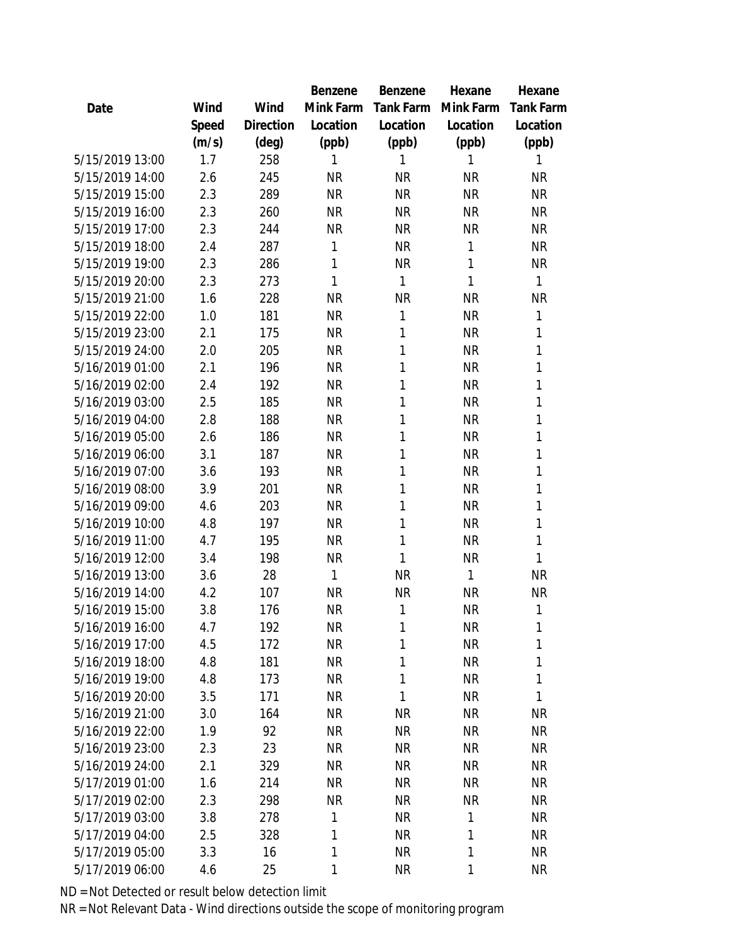|                 |       |                | Benzene   | Benzene   | Hexane    | Hexane       |
|-----------------|-------|----------------|-----------|-----------|-----------|--------------|
| Date            | Wind  | Wind           | Mink Farm | Tank Farm | Mink Farm | Tank Farm    |
|                 | Speed | Direction      | Location  | Location  | Location  | Location     |
|                 | (m/s) | $(\text{deg})$ | (ppb)     | (ppb)     | (ppb)     | (ppb)        |
| 5/15/2019 13:00 | 1.7   | 258            | 1         | 1         | 1         | 1            |
| 5/15/2019 14:00 | 2.6   | 245            | <b>NR</b> | <b>NR</b> | <b>NR</b> | <b>NR</b>    |
| 5/15/2019 15:00 | 2.3   | 289            | <b>NR</b> | <b>NR</b> | <b>NR</b> | <b>NR</b>    |
| 5/15/2019 16:00 | 2.3   | 260            | <b>NR</b> | <b>NR</b> | <b>NR</b> | <b>NR</b>    |
| 5/15/2019 17:00 | 2.3   | 244            | <b>NR</b> | <b>NR</b> | <b>NR</b> | <b>NR</b>    |
| 5/15/2019 18:00 | 2.4   | 287            | 1         | <b>NR</b> | 1         | <b>NR</b>    |
| 5/15/2019 19:00 | 2.3   | 286            | 1         | <b>NR</b> | 1         | <b>NR</b>    |
| 5/15/2019 20:00 | 2.3   | 273            | 1         | 1         | 1         | $\mathbf{1}$ |
| 5/15/2019 21:00 | 1.6   | 228            | <b>NR</b> | <b>NR</b> | <b>NR</b> | <b>NR</b>    |
| 5/15/2019 22:00 | 1.0   | 181            | <b>NR</b> | 1         | <b>NR</b> | 1            |
| 5/15/2019 23:00 | 2.1   | 175            | <b>NR</b> | 1         | <b>NR</b> | 1            |
| 5/15/2019 24:00 | 2.0   | 205            | <b>NR</b> | 1         | <b>NR</b> | 1            |
| 5/16/2019 01:00 | 2.1   | 196            | <b>NR</b> | 1         | <b>NR</b> | $\mathbf{1}$ |
| 5/16/2019 02:00 | 2.4   | 192            | <b>NR</b> | 1         | <b>NR</b> | 1            |
| 5/16/2019 03:00 | 2.5   | 185            | <b>NR</b> | 1         | <b>NR</b> | 1            |
| 5/16/2019 04:00 | 2.8   | 188            | <b>NR</b> | 1         | <b>NR</b> | 1            |
| 5/16/2019 05:00 | 2.6   | 186            | <b>NR</b> | 1         | <b>NR</b> | 1            |
| 5/16/2019 06:00 | 3.1   | 187            | <b>NR</b> | 1         | <b>NR</b> | 1            |
| 5/16/2019 07:00 | 3.6   | 193            | <b>NR</b> | 1         | <b>NR</b> | 1            |
| 5/16/2019 08:00 | 3.9   | 201            | <b>NR</b> | 1         | <b>NR</b> | 1            |
| 5/16/2019 09:00 | 4.6   | 203            | <b>NR</b> | 1         | <b>NR</b> | 1            |
| 5/16/2019 10:00 | 4.8   | 197            | <b>NR</b> | 1         | <b>NR</b> | 1            |
| 5/16/2019 11:00 | 4.7   | 195            | <b>NR</b> | 1         | <b>NR</b> | 1            |
| 5/16/2019 12:00 | 3.4   | 198            | <b>NR</b> | 1         | <b>NR</b> | 1            |
| 5/16/2019 13:00 | 3.6   | 28             | 1         | <b>NR</b> | 1         | <b>NR</b>    |
| 5/16/2019 14:00 | 4.2   | 107            | <b>NR</b> | <b>NR</b> | <b>NR</b> | <b>NR</b>    |
| 5/16/2019 15:00 | 3.8   | 176            | <b>NR</b> | 1         | <b>NR</b> | 1            |
| 5/16/2019 16:00 | 4.7   | 192            | <b>NR</b> | 1         | <b>NR</b> | 1            |
| 5/16/2019 17:00 | 4.5   | 172            | <b>NR</b> | 1         | <b>NR</b> | 1            |
| 5/16/2019 18:00 | 4.8   | 181            | <b>NR</b> | 1         | <b>NR</b> | 1            |
| 5/16/2019 19:00 | 4.8   | 173            | <b>NR</b> | 1         | <b>NR</b> | 1            |
| 5/16/2019 20:00 | 3.5   | 171            | <b>NR</b> | 1         | <b>NR</b> | 1            |
| 5/16/2019 21:00 | 3.0   | 164            | <b>NR</b> | <b>NR</b> | <b>NR</b> | <b>NR</b>    |
| 5/16/2019 22:00 | 1.9   | 92             | <b>NR</b> | <b>NR</b> | <b>NR</b> | <b>NR</b>    |
| 5/16/2019 23:00 | 2.3   | 23             | <b>NR</b> | <b>NR</b> | <b>NR</b> | <b>NR</b>    |
| 5/16/2019 24:00 | 2.1   | 329            | <b>NR</b> | <b>NR</b> | <b>NR</b> | <b>NR</b>    |
| 5/17/2019 01:00 | 1.6   | 214            | <b>NR</b> | <b>NR</b> | <b>NR</b> | <b>NR</b>    |
| 5/17/2019 02:00 | 2.3   | 298            | <b>NR</b> | <b>NR</b> | <b>NR</b> | <b>NR</b>    |
| 5/17/2019 03:00 | 3.8   | 278            | 1         | <b>NR</b> | 1         | <b>NR</b>    |
| 5/17/2019 04:00 | 2.5   | 328            | 1         | <b>NR</b> | 1         | <b>NR</b>    |
| 5/17/2019 05:00 | 3.3   | 16             | 1         | <b>NR</b> | 1         | <b>NR</b>    |
| 5/17/2019 06:00 | 4.6   | 25             | 1         | <b>NR</b> | 1         | <b>NR</b>    |